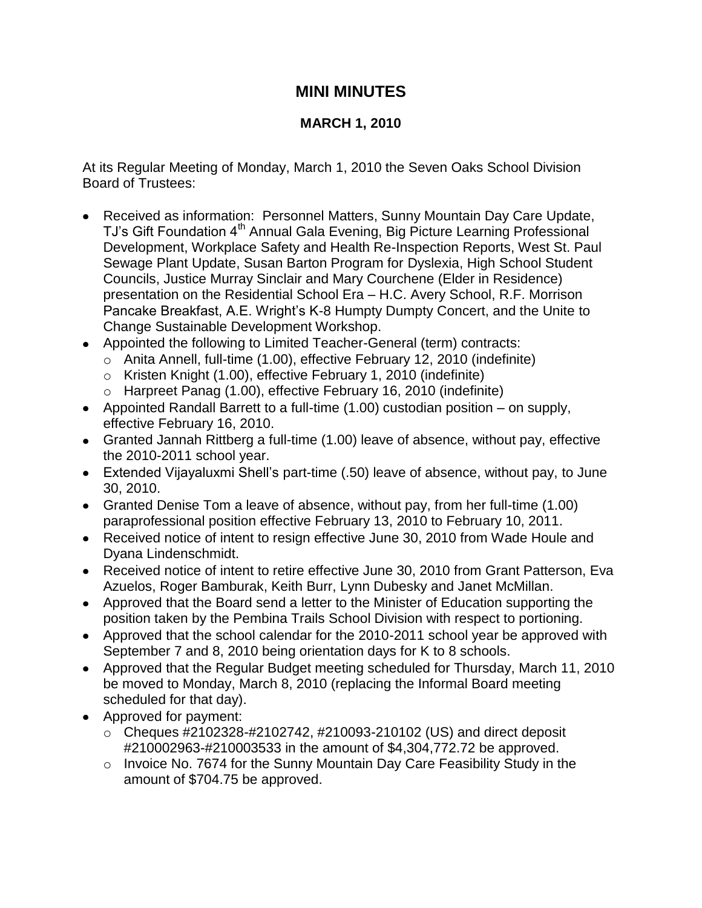## **MINI MINUTES**

## **MARCH 1, 2010**

At its Regular Meeting of Monday, March 1, 2010 the Seven Oaks School Division Board of Trustees:

- Received as information: Personnel Matters, Sunny Mountain Day Care Update, TJ's Gift Foundation 4<sup>th</sup> Annual Gala Evening, Big Picture Learning Professional Development, Workplace Safety and Health Re-Inspection Reports, West St. Paul Sewage Plant Update, Susan Barton Program for Dyslexia, High School Student Councils, Justice Murray Sinclair and Mary Courchene (Elder in Residence) presentation on the Residential School Era – H.C. Avery School, R.F. Morrison Pancake Breakfast, A.E. Wright's K-8 Humpty Dumpty Concert, and the Unite to Change Sustainable Development Workshop.
- Appointed the following to Limited Teacher-General (term) contracts:
	- o Anita Annell, full-time (1.00), effective February 12, 2010 (indefinite)
	- o Kristen Knight (1.00), effective February 1, 2010 (indefinite)
	- o Harpreet Panag (1.00), effective February 16, 2010 (indefinite)
- Appointed Randall Barrett to a full-time (1.00) custodian position on supply, effective February 16, 2010.
- Granted Jannah Rittberg a full-time (1.00) leave of absence, without pay, effective the 2010-2011 school year.
- Extended Vijayaluxmi Shell's part-time (.50) leave of absence, without pay, to June 30, 2010.
- Granted Denise Tom a leave of absence, without pay, from her full-time (1.00) paraprofessional position effective February 13, 2010 to February 10, 2011.
- Received notice of intent to resign effective June 30, 2010 from Wade Houle and Dyana Lindenschmidt.
- Received notice of intent to retire effective June 30, 2010 from Grant Patterson, Eva Azuelos, Roger Bamburak, Keith Burr, Lynn Dubesky and Janet McMillan.
- Approved that the Board send a letter to the Minister of Education supporting the position taken by the Pembina Trails School Division with respect to portioning.
- Approved that the school calendar for the 2010-2011 school year be approved with September 7 and 8, 2010 being orientation days for K to 8 schools.
- Approved that the Regular Budget meeting scheduled for Thursday, March 11, 2010 be moved to Monday, March 8, 2010 (replacing the Informal Board meeting scheduled for that day).
- Approved for payment:
	- $\circ$  Cheques #2102328-#2102742, #210093-210102 (US) and direct deposit #210002963-#210003533 in the amount of \$4,304,772.72 be approved.
	- o Invoice No. 7674 for the Sunny Mountain Day Care Feasibility Study in the amount of \$704.75 be approved.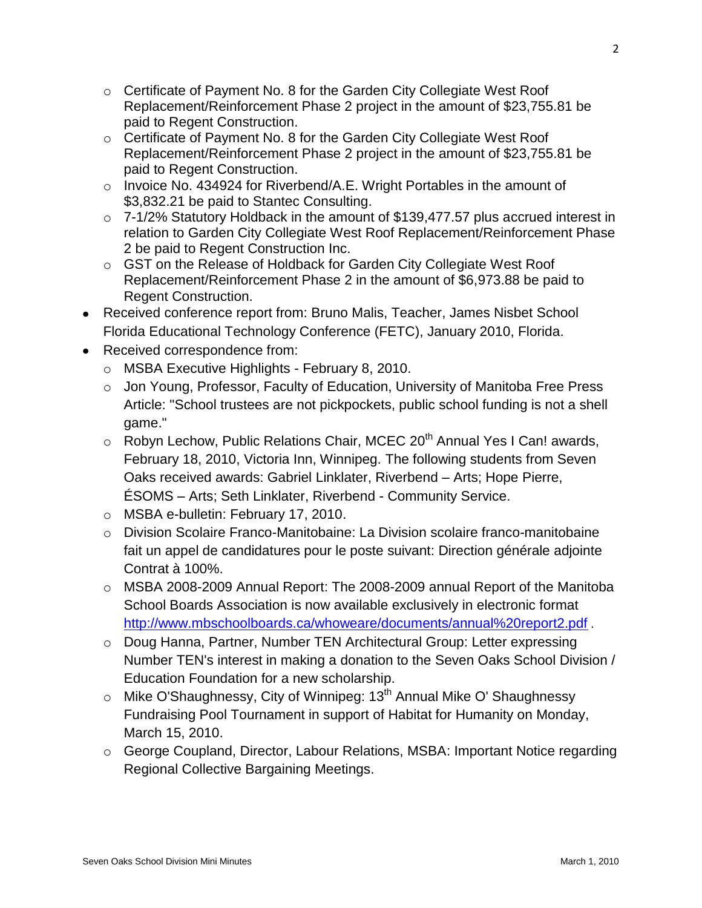- o Certificate of Payment No. 8 for the Garden City Collegiate West Roof Replacement/Reinforcement Phase 2 project in the amount of \$23,755.81 be paid to Regent Construction.
- o Certificate of Payment No. 8 for the Garden City Collegiate West Roof Replacement/Reinforcement Phase 2 project in the amount of \$23,755.81 be paid to Regent Construction.
- o Invoice No. 434924 for Riverbend/A.E. Wright Portables in the amount of \$3,832.21 be paid to Stantec Consulting.
- o 7-1/2% Statutory Holdback in the amount of \$139,477.57 plus accrued interest in relation to Garden City Collegiate West Roof Replacement/Reinforcement Phase 2 be paid to Regent Construction Inc.
- o GST on the Release of Holdback for Garden City Collegiate West Roof Replacement/Reinforcement Phase 2 in the amount of \$6,973.88 be paid to Regent Construction.
- Received conference report from: Bruno Malis, Teacher, James Nisbet School Florida Educational Technology Conference (FETC), January 2010, Florida.
- Received correspondence from:
	- o MSBA Executive Highlights February 8, 2010.
	- o Jon Young, Professor, Faculty of Education, University of Manitoba Free Press Article: "School trustees are not pickpockets, public school funding is not a shell game."
	- $\circ$  Robyn Lechow, Public Relations Chair, MCEC 20<sup>th</sup> Annual Yes I Can! awards, February 18, 2010, Victoria Inn, Winnipeg. The following students from Seven Oaks received awards: Gabriel Linklater, Riverbend – Arts; Hope Pierre, ÉSOMS – Arts; Seth Linklater, Riverbend - Community Service.
	- o MSBA e-bulletin: February 17, 2010.
	- $\circ$  Division Scolaire Franco-Manitobaine: La Division scolaire franco-manitobaine fait un appel de candidatures pour le poste suivant: Direction générale adjointe Contrat à 100%.
	- o MSBA 2008-2009 Annual Report: The 2008-2009 annual Report of the Manitoba School Boards Association is now available exclusively in electronic format <http://www.mbschoolboards.ca/whoweare/documents/annual%20report2.pdf> .
	- o Doug Hanna, Partner, Number TEN Architectural Group: Letter expressing Number TEN's interest in making a donation to the Seven Oaks School Division / Education Foundation for a new scholarship.
	- $\circ$  Mike O'Shaughnessy, City of Winnipeg: 13<sup>th</sup> Annual Mike O' Shaughnessy Fundraising Pool Tournament in support of Habitat for Humanity on Monday, March 15, 2010.
	- o George Coupland, Director, Labour Relations, MSBA: Important Notice regarding Regional Collective Bargaining Meetings.